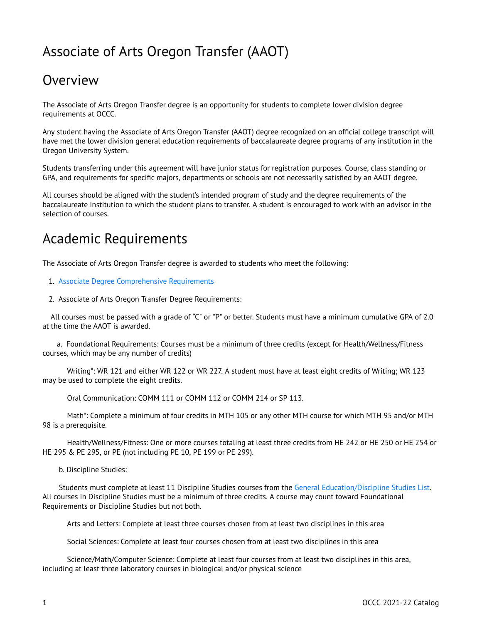# Associate of Arts Oregon Transfer (AAOT)

## **Overview**

The Associate of Arts Oregon Transfer degree is an opportunity for students to complete lower division degree requirements at OCCC.

Any student having the Associate of Arts Oregon Transfer (AAOT) degree recognized on an official college transcript will have met the lower division general education requirements of baccalaureate degree programs of any institution in the Oregon University System.

Students transferring under this agreement will have junior status for registration purposes. Course, class standing or GPA, and requirements for specific majors, departments or schools are not necessarily satisfied by an AAOT degree.

All courses should be aligned with the student's intended program of study and the degree requirements of the baccalaureate institution to which the student plans to transfer. A student is encouraged to work with an advisor in the selection of courses.

## Academic Requirements

The Associate of Arts Oregon Transfer degree is awarded to students who meet the following:

- 1. [Associate Degree Comprehensive Requirements](http://catalog.oregoncoastcc.org/associate-degree-comprehensive-requirements-0)
- 2. Associate of Arts Oregon Transfer Degree Requirements:

All courses must be passed with a grade of "C" or "P" or better. Students must have a minimum cumulative GPA of 2.0 at the time the AAOT is awarded.

a. Foundational Requirements: Courses must be a minimum of three credits (except for Health/Wellness/Fitness courses, which may be any number of credits)

Writing\*: WR 121 and either WR 122 or WR 227. A student must have at least eight credits of Writing; WR 123 may be used to complete the eight credits.

Oral Communication: COMM 111 or COMM 112 or COMM 214 or SP 113.

Math\*: Complete a minimum of four credits in MTH 105 or any other MTH course for which MTH 95 and/or MTH 98 is a prerequisite.

Health/Wellness/Fitness: One or more courses totaling at least three credits from HE 242 or HE 250 or HE 254 or HE 295 & PE 295, or PE (not including PE 10, PE 199 or PE 299).

b. Discipline Studies:

Students must complete at least 11 Discipline Studies courses from the [General Education/Discipline Studies List.](https://catalog.pcc.edu/generaleducationdisciplinestudies/) All courses in Discipline Studies must be a minimum of three credits. A course may count toward Foundational Requirements or Discipline Studies but not both.

Arts and Letters: Complete at least three courses chosen from at least two disciplines in this area

Social Sciences: Complete at least four courses chosen from at least two disciplines in this area

Science/Math/Computer Science: Complete at least four courses from at least two disciplines in this area, including at least three laboratory courses in biological and/or physical science